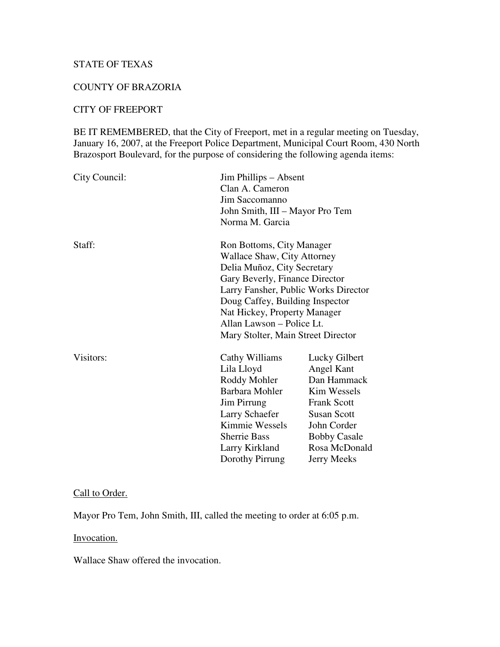# STATE OF TEXAS

### COUNTY OF BRAZORIA

## CITY OF FREEPORT

BE IT REMEMBERED, that the City of Freeport, met in a regular meeting on Tuesday, January 16, 2007, at the Freeport Police Department, Municipal Court Room, 430 North Brazosport Boulevard, for the purpose of considering the following agenda items:

| City Council: | Clan A. Cameron<br>Jim Saccomanno<br>Norma M. Garcia                                                                                                                                                                                                                                                    | Jim Phillips – Absent<br>John Smith, III – Mayor Pro Tem                                                                                                                           |  |
|---------------|---------------------------------------------------------------------------------------------------------------------------------------------------------------------------------------------------------------------------------------------------------------------------------------------------------|------------------------------------------------------------------------------------------------------------------------------------------------------------------------------------|--|
| Staff:        | Ron Bottoms, City Manager<br>Wallace Shaw, City Attorney<br>Delia Muñoz, City Secretary<br>Gary Beverly, Finance Director<br>Larry Fansher, Public Works Director<br>Doug Caffey, Building Inspector<br>Nat Hickey, Property Manager<br>Allan Lawson – Police Lt.<br>Mary Stolter, Main Street Director |                                                                                                                                                                                    |  |
| Visitors:     | Cathy Williams<br>Lila Lloyd<br>Roddy Mohler<br>Barbara Mohler<br>Jim Pirrung<br>Larry Schaefer<br>Kimmie Wessels<br><b>Sherrie Bass</b><br>Larry Kirkland<br>Dorothy Pirrung                                                                                                                           | Lucky Gilbert<br>Angel Kant<br>Dan Hammack<br>Kim Wessels<br><b>Frank Scott</b><br><b>Susan Scott</b><br>John Corder<br><b>Bobby Casale</b><br>Rosa McDonald<br><b>Jerry Meeks</b> |  |

### Call to Order.

Mayor Pro Tem, John Smith, III, called the meeting to order at 6:05 p.m.

Invocation.

Wallace Shaw offered the invocation.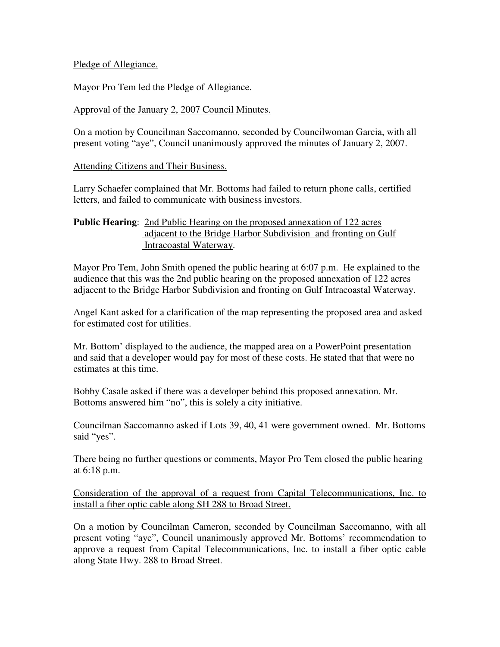### Pledge of Allegiance.

Mayor Pro Tem led the Pledge of Allegiance.

## Approval of the January 2, 2007 Council Minutes.

On a motion by Councilman Saccomanno, seconded by Councilwoman Garcia, with all present voting "aye", Council unanimously approved the minutes of January 2, 2007.

## Attending Citizens and Their Business.

Larry Schaefer complained that Mr. Bottoms had failed to return phone calls, certified letters, and failed to communicate with business investors.

## **Public Hearing**: 2nd Public Hearing on the proposed annexation of 122 acres adjacent to the Bridge Harbor Subdivision and fronting on Gulf Intracoastal Waterway.

Mayor Pro Tem, John Smith opened the public hearing at 6:07 p.m. He explained to the audience that this was the 2nd public hearing on the proposed annexation of 122 acres adjacent to the Bridge Harbor Subdivision and fronting on Gulf Intracoastal Waterway.

Angel Kant asked for a clarification of the map representing the proposed area and asked for estimated cost for utilities.

Mr. Bottom' displayed to the audience, the mapped area on a PowerPoint presentation and said that a developer would pay for most of these costs. He stated that that were no estimates at this time.

Bobby Casale asked if there was a developer behind this proposed annexation. Mr. Bottoms answered him "no", this is solely a city initiative.

Councilman Saccomanno asked if Lots 39, 40, 41 were government owned. Mr. Bottoms said "yes".

There being no further questions or comments, Mayor Pro Tem closed the public hearing at 6:18 p.m.

Consideration of the approval of a request from Capital Telecommunications, Inc. to install a fiber optic cable along SH 288 to Broad Street.

On a motion by Councilman Cameron, seconded by Councilman Saccomanno, with all present voting "aye", Council unanimously approved Mr. Bottoms' recommendation to approve a request from Capital Telecommunications, Inc. to install a fiber optic cable along State Hwy. 288 to Broad Street.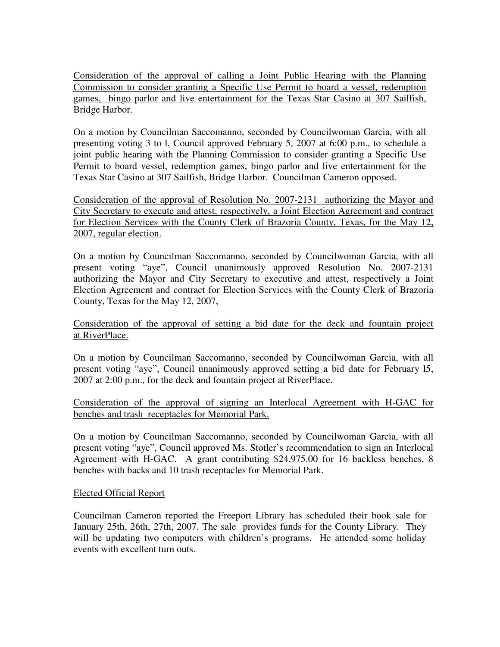Consideration of the approval of calling a Joint Public Hearing with the Planning Commission to consider granting a Specific Use Permit to board a vessel, redemption games, bingo parlor and live entertainment for the Texas Star Casino at 307 Sailfish, Bridge Harbor.

On a motion by Councilman Saccomanno, seconded by Councilwoman Garcia, with all presenting voting 3 to l, Council approved February 5, 2007 at 6:00 p.m., to schedule a joint public hearing with the Planning Commission to consider granting a Specific Use Permit to board vessel, redemption games, bingo parlor and live entertainment for the Texas Star Casino at 307 Sailfish, Bridge Harbor. Councilman Cameron opposed.

Consideration of the approval of Resolution No. 2007-2131 authorizing the Mayor and City Secretary to execute and attest, respectively, a Joint Election Agreement and contract for Election Services with the County Clerk of Brazoria County, Texas, for the May 12, 2007, regular election.

On a motion by Councilman Saccomanno, seconded by Councilwoman Garcia, with all present voting "aye", Council unanimously approved Resolution No. 2007-2131 authorizing the Mayor and City Secretary to executive and attest, respectively a Joint Election Agreement and contract for Election Services with the County Clerk of Brazoria County, Texas for the May 12, 2007,

Consideration of the approval of setting a bid date for the deck and fountain project at RiverPlace.

On a motion by Councilman Saccomanno, seconded by Councilwoman Garcia, with all present voting "aye", Council unanimously approved setting a bid date for February l5, 2007 at 2:00 p.m., for the deck and fountain project at RiverPlace.

Consideration of the approval of signing an Interlocal Agreement with H-GAC for benches and trash receptacles for Memorial Park.

On a motion by Councilman Saccomanno, seconded by Councilwoman Garcia, with all present voting "aye", Council approved Ms. Stotler's recommendation to sign an Interlocal Agreement with H-GAC. A grant contributing \$24,975.00 for 16 backless benches, 8 benches with backs and 10 trash receptacles for Memorial Park.

### Elected Official Report

Councilman Cameron reported the Freeport Library has scheduled their book sale for January 25th, 26th, 27th, 2007. The sale provides funds for the County Library. They will be updating two computers with children's programs. He attended some holiday events with excellent turn outs.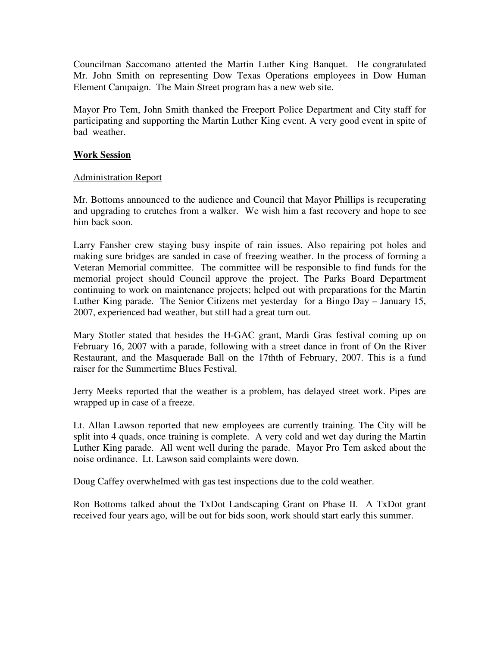Councilman Saccomano attented the Martin Luther King Banquet. He congratulated Mr. John Smith on representing Dow Texas Operations employees in Dow Human Element Campaign. The Main Street program has a new web site.

Mayor Pro Tem, John Smith thanked the Freeport Police Department and City staff for participating and supporting the Martin Luther King event. A very good event in spite of bad weather.

### **Work Session**

## Administration Report

Mr. Bottoms announced to the audience and Council that Mayor Phillips is recuperating and upgrading to crutches from a walker. We wish him a fast recovery and hope to see him back soon.

Larry Fansher crew staying busy inspite of rain issues. Also repairing pot holes and making sure bridges are sanded in case of freezing weather. In the process of forming a Veteran Memorial committee. The committee will be responsible to find funds for the memorial project should Council approve the project. The Parks Board Department continuing to work on maintenance projects; helped out with preparations for the Martin Luther King parade. The Senior Citizens met yesterday for a Bingo Day – January 15, 2007, experienced bad weather, but still had a great turn out.

Mary Stotler stated that besides the H-GAC grant, Mardi Gras festival coming up on February 16, 2007 with a parade, following with a street dance in front of On the River Restaurant, and the Masquerade Ball on the 17thth of February, 2007. This is a fund raiser for the Summertime Blues Festival.

Jerry Meeks reported that the weather is a problem, has delayed street work. Pipes are wrapped up in case of a freeze.

Lt. Allan Lawson reported that new employees are currently training. The City will be split into 4 quads, once training is complete. A very cold and wet day during the Martin Luther King parade. All went well during the parade. Mayor Pro Tem asked about the noise ordinance. Lt. Lawson said complaints were down.

Doug Caffey overwhelmed with gas test inspections due to the cold weather.

Ron Bottoms talked about the TxDot Landscaping Grant on Phase II. A TxDot grant received four years ago, will be out for bids soon, work should start early this summer.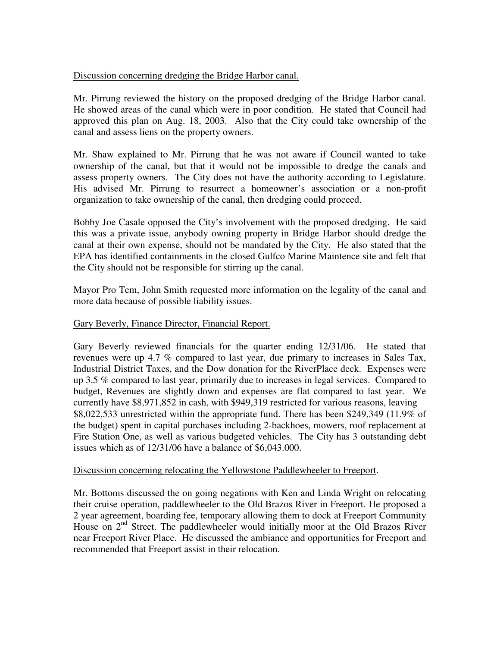## Discussion concerning dredging the Bridge Harbor canal.

Mr. Pirrung reviewed the history on the proposed dredging of the Bridge Harbor canal. He showed areas of the canal which were in poor condition. He stated that Council had approved this plan on Aug. 18, 2003. Also that the City could take ownership of the canal and assess liens on the property owners.

Mr. Shaw explained to Mr. Pirrung that he was not aware if Council wanted to take ownership of the canal, but that it would not be impossible to dredge the canals and assess property owners. The City does not have the authority according to Legislature. His advised Mr. Pirrung to resurrect a homeowner's association or a non-profit organization to take ownership of the canal, then dredging could proceed.

Bobby Joe Casale opposed the City's involvement with the proposed dredging. He said this was a private issue, anybody owning property in Bridge Harbor should dredge the canal at their own expense, should not be mandated by the City. He also stated that the EPA has identified containments in the closed Gulfco Marine Maintence site and felt that the City should not be responsible for stirring up the canal.

Mayor Pro Tem, John Smith requested more information on the legality of the canal and more data because of possible liability issues.

## Gary Beverly, Finance Director, Financial Report.

Gary Beverly reviewed financials for the quarter ending 12/31/06. He stated that revenues were up 4.7 % compared to last year, due primary to increases in Sales Tax, Industrial District Taxes, and the Dow donation for the RiverPlace deck. Expenses were up 3.5 % compared to last year, primarily due to increases in legal services. Compared to budget, Revenues are slightly down and expenses are flat compared to last year. We currently have \$8,971,852 in cash, with \$949,319 restricted for various reasons, leaving \$8,022,533 unrestricted within the appropriate fund. There has been \$249,349 (11.9% of the budget) spent in capital purchases including 2-backhoes, mowers, roof replacement at Fire Station One, as well as various budgeted vehicles. The City has 3 outstanding debt issues which as of 12/31/06 have a balance of \$6,043.000.

### Discussion concerning relocating the Yellowstone Paddlewheeler to Freeport.

Mr. Bottoms discussed the on going negations with Ken and Linda Wright on relocating their cruise operation, paddlewheeler to the Old Brazos River in Freeport. He proposed a 2 year agreement, boarding fee, temporary allowing them to dock at Freeport Community House on 2<sup>nd</sup> Street. The paddlewheeler would initially moor at the Old Brazos River near Freeport River Place. He discussed the ambiance and opportunities for Freeport and recommended that Freeport assist in their relocation.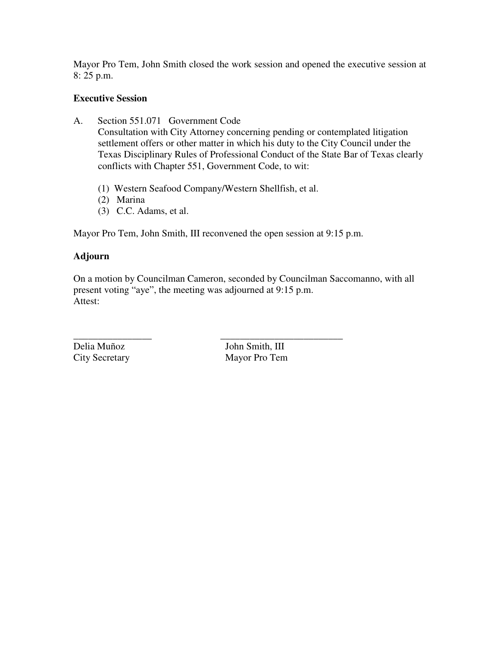Mayor Pro Tem, John Smith closed the work session and opened the executive session at 8: 25 p.m.

## **Executive Session**

- A. Section 551.071 Government Code Consultation with City Attorney concerning pending or contemplated litigation settlement offers or other matter in which his duty to the City Council under the Texas Disciplinary Rules of Professional Conduct of the State Bar of Texas clearly conflicts with Chapter 551, Government Code, to wit:
	- (1) Western Seafood Company/Western Shellfish, et al.
	- (2) Marina
	- (3) C.C. Adams, et al.

Mayor Pro Tem, John Smith, III reconvened the open session at 9:15 p.m.

### **Adjourn**

On a motion by Councilman Cameron, seconded by Councilman Saccomanno, with all present voting "aye", the meeting was adjourned at 9:15 p.m. Attest:

\_\_\_\_\_\_\_\_\_\_\_\_\_\_\_\_ \_\_\_\_\_\_\_\_\_\_\_\_\_\_\_\_\_\_\_\_\_\_\_\_\_

Delia Muñoz<br>
City Secretary<br>
City Secretary<br>
City Secretary<br>
City Secretary<br>
City Secretary<br>
City Secretary<br>
City Secretary<br>
City Secretary<br>
City Secretary<br>
City Secretary<br>
City Secretary<br>
City Secretary<br>
City Secretary<br>
C Mayor Pro Tem